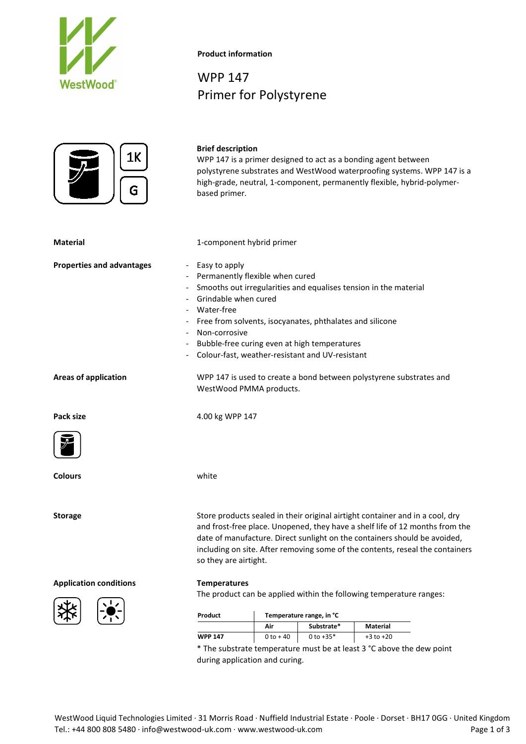



## **Product information**

**Brief description**

WPP 147 Primer for Polystyrene

|                                                              | <b>WPP 147</b>                                                                                                                                                                                                                                                      | $0 to + 40$              | 0 to $+35*$ | $+3$ to $+20$                                                                 |  |  |
|--------------------------------------------------------------|---------------------------------------------------------------------------------------------------------------------------------------------------------------------------------------------------------------------------------------------------------------------|--------------------------|-------------|-------------------------------------------------------------------------------|--|--|
|                                                              |                                                                                                                                                                                                                                                                     | Air                      | Substrate*  | Material                                                                      |  |  |
|                                                              | Product                                                                                                                                                                                                                                                             | Temperature range, in °C |             |                                                                               |  |  |
|                                                              | The product can be applied within the following temperature ranges:                                                                                                                                                                                                 |                          |             |                                                                               |  |  |
| <b>Application conditions</b>                                | <b>Temperatures</b>                                                                                                                                                                                                                                                 |                          |             |                                                                               |  |  |
|                                                              | and frost-free place. Unopened, they have a shelf life of 12 months from the<br>date of manufacture. Direct sunlight on the containers should be avoided,<br>including on site. After removing some of the contents, reseal the containers<br>so they are airtight. |                          |             |                                                                               |  |  |
| <b>Storage</b>                                               |                                                                                                                                                                                                                                                                     |                          |             | Store products sealed in their original airtight container and in a cool, dry |  |  |
| <b>Colours</b>                                               | white                                                                                                                                                                                                                                                               |                          |             |                                                                               |  |  |
|                                                              |                                                                                                                                                                                                                                                                     |                          |             |                                                                               |  |  |
| Pack size                                                    | 4.00 kg WPP 147                                                                                                                                                                                                                                                     |                          |             |                                                                               |  |  |
| <b>Areas of application</b>                                  | WPP 147 is used to create a bond between polystyrene substrates and<br>WestWood PMMA products.                                                                                                                                                                      |                          |             |                                                                               |  |  |
|                                                              | Non-corrosive<br>Bubble-free curing even at high temperatures<br>Colour-fast, weather-resistant and UV-resistant                                                                                                                                                    |                          |             |                                                                               |  |  |
|                                                              | Smooths out irregularities and equalises tension in the material<br>Grindable when cured<br>Water-free<br>Free from solvents, isocyanates, phthalates and silicone                                                                                                  |                          |             |                                                                               |  |  |
|                                                              |                                                                                                                                                                                                                                                                     |                          |             |                                                                               |  |  |
| <b>Properties and advantages</b><br>$\overline{\phantom{a}}$ | Easy to apply<br>Permanently flexible when cured                                                                                                                                                                                                                    |                          |             |                                                                               |  |  |
| <b>Material</b>                                              | 1-component hybrid primer                                                                                                                                                                                                                                           |                          |             |                                                                               |  |  |
| ΤV<br>G                                                      | WPP 147 is a primer designed to act as a bonding agent between<br>polystyrene substrates and WestWood waterproofing systems. WPP 147 is a<br>high-grade, neutral, 1-component, permanently flexible, hybrid-polymer-<br>based primer.                               |                          |             |                                                                               |  |  |
|                                                              |                                                                                                                                                                                                                                                                     |                          |             |                                                                               |  |  |

\* The substrate temperature must be at least 3 °C above the dew point during application and curing.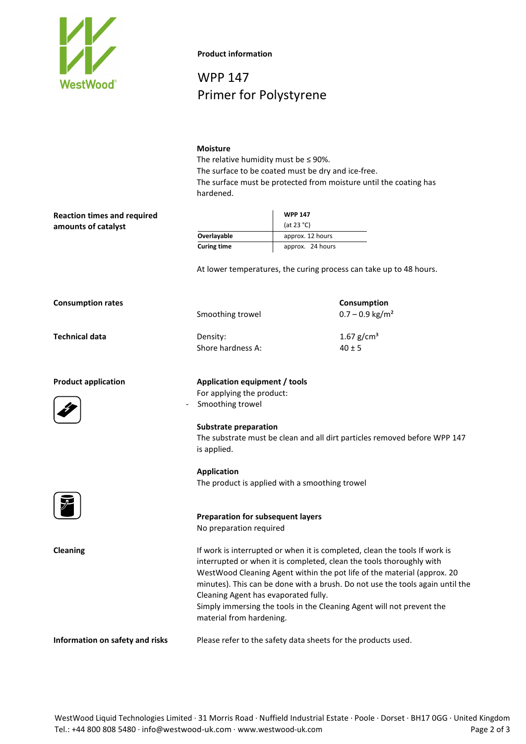

**Product information**

WPP 147 Primer for Polystyrene

## **Moisture**

The relative humidity must be ≤ 90%. The surface to be coated must be dry and ice-free. The surface must be protected from moisture until the coating has hardened.

|                    | <b>WPP 147</b><br>(at 23 $^{\circ}$ C) |  |  |
|--------------------|----------------------------------------|--|--|
|                    |                                        |  |  |
| Overlayable        | approx. 12 hours                       |  |  |
| <b>Curing time</b> | approx. 24 hours                       |  |  |

At lower temperatures, the curing process can take up to 48 hours.

| <b>Consumption rates</b> |                   | Consumption                   |  |
|--------------------------|-------------------|-------------------------------|--|
|                          | Smoothing trowel  | $0.7 - 0.9$ kg/m <sup>2</sup> |  |
| Technical data           | Density:          | 1.67 g/cm <sup>3</sup>        |  |
|                          | Shore hardness A: | $40 \pm 5$                    |  |
|                          |                   |                               |  |

**Application**

For applying the product: Smoothing trowel

**Product application Application equipment / tools**

**Reaction times and required** 

**amounts of catalyst**



**Substrate preparation** The substrate must be clean and all dirt particles removed before WPP 147 is applied.



**Cleaning If work is interrupted or when it is completed, clean the tools If work is completed, clean the tools If work is** interrupted or when it is completed, clean the tools thoroughly with WestWood Cleaning Agent within the pot life of the material (approx. 20 minutes). This can be done with a brush. Do not use the tools again until the Cleaning Agent has evaporated fully. Simply immersing the tools in the Cleaning Agent will not prevent the material from hardening.

**Information on safety and risks** Please refer to the safety data sheets for the products used.

The product is applied with a smoothing trowel

**Preparation for subsequent layers**

No preparation required